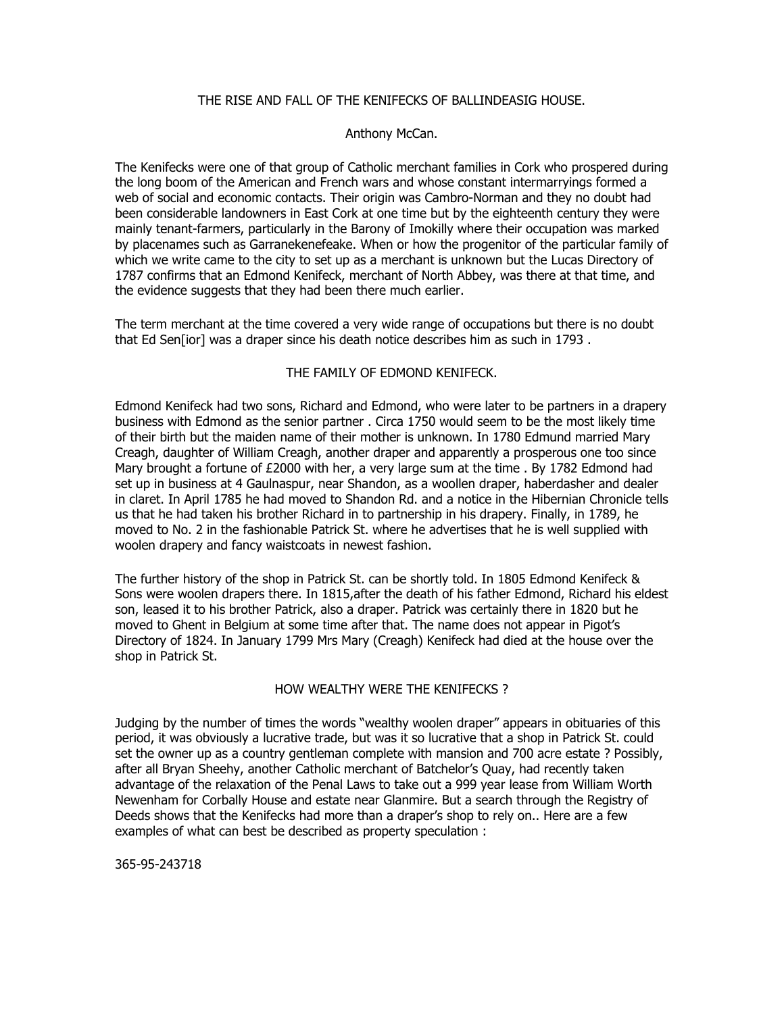# THE RISE AND FALL OF THE KENIFECKS OF BALLINDEASIG HOUSE.

### Anthony McCan.

The Kenifecks were one of that group of Catholic merchant families in Cork who prospered during the long boom of the American and French wars and whose constant intermarryings formed a web of social and economic contacts. Their origin was Cambro-Norman and they no doubt had been considerable landowners in East Cork at one time but by the eighteenth century they were mainly tenant-farmers, particularly in the Barony of Imokilly where their occupation was marked by placenames such as Garranekenefeake. When or how the progenitor of the particular family of which we write came to the city to set up as a merchant is unknown but the Lucas Directory of 1787 confirms that an Edmond Kenifeck, merchant of North Abbey, was there at that time, and the evidence suggests that they had been there much earlier.

The term merchant at the time covered a very wide range of occupations but there is no doubt that Ed Sen[ior] was a draper since his death notice describes him as such in 1793 .

# THE FAMILY OF EDMOND KENIFECK.

Edmond Kenifeck had two sons, Richard and Edmond, who were later to be partners in a drapery business with Edmond as the senior partner . Circa 1750 would seem to be the most likely time of their birth but the maiden name of their mother is unknown. In 1780 Edmund married Mary Creagh, daughter of William Creagh, another draper and apparently a prosperous one too since Mary brought a fortune of £2000 with her, a very large sum at the time . By 1782 Edmond had set up in business at 4 Gaulnaspur, near Shandon, as a woollen draper, haberdasher and dealer in claret. In April 1785 he had moved to Shandon Rd. and a notice in the Hibernian Chronicle tells us that he had taken his brother Richard in to partnership in his drapery. Finally, in 1789, he moved to No. 2 in the fashionable Patrick St. where he advertises that he is well supplied with woolen drapery and fancy waistcoats in newest fashion.

The further history of the shop in Patrick St. can be shortly told. In 1805 Edmond Kenifeck & Sons were woolen drapers there. In 1815,after the death of his father Edmond, Richard his eldest son, leased it to his brother Patrick, also a draper. Patrick was certainly there in 1820 but he moved to Ghent in Belgium at some time after that. The name does not appear in Pigot's Directory of 1824. In January 1799 Mrs Mary (Creagh) Kenifeck had died at the house over the shop in Patrick St.

# HOW WEALTHY WERE THE KENIFECKS ?

Judging by the number of times the words "wealthy woolen draper" appears in obituaries of this period, it was obviously a lucrative trade, but was it so lucrative that a shop in Patrick St. could set the owner up as a country gentleman complete with mansion and 700 acre estate ? Possibly, after all Bryan Sheehy, another Catholic merchant of Batchelor's Quay, had recently taken advantage of the relaxation of the Penal Laws to take out a 999 year lease from William Worth Newenham for Corbally House and estate near Glanmire. But a search through the Registry of Deeds shows that the Kenifecks had more than a draper's shop to rely on.. Here are a few examples of what can best be described as property speculation :

365-95-243718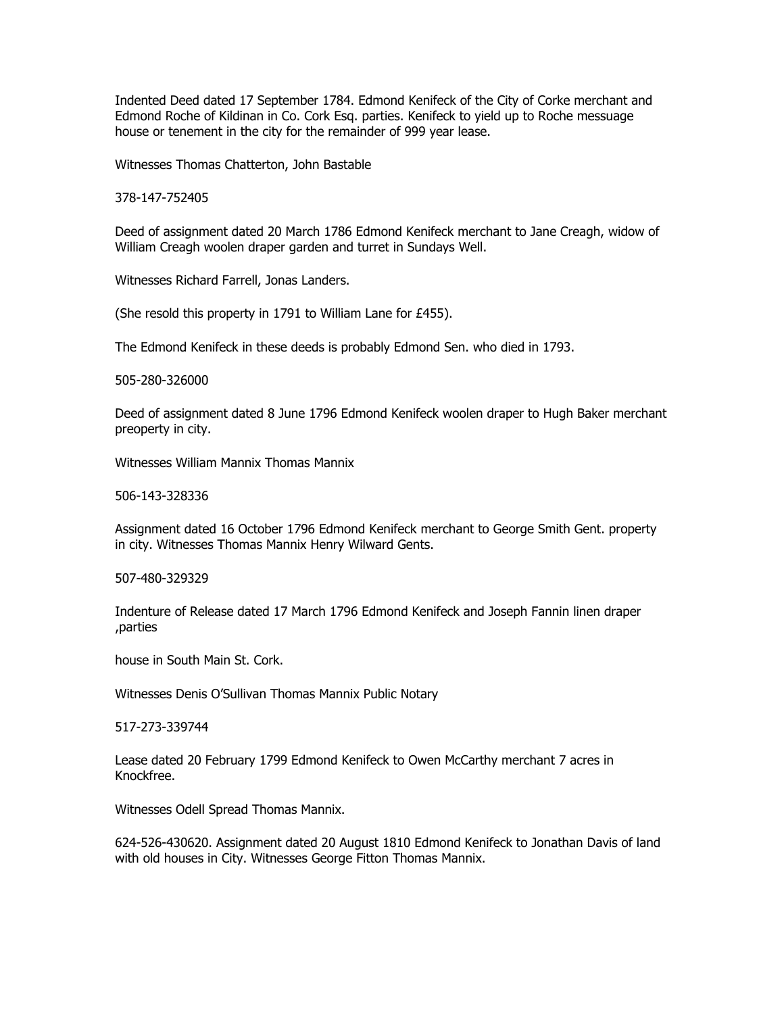Indented Deed dated 17 September 1784. Edmond Kenifeck of the City of Corke merchant and Edmond Roche of Kildinan in Co. Cork Esq. parties. Kenifeck to yield up to Roche messuage house or tenement in the city for the remainder of 999 year lease.

Witnesses Thomas Chatterton, John Bastable

378-147-752405

Deed of assignment dated 20 March 1786 Edmond Kenifeck merchant to Jane Creagh, widow of William Creagh woolen draper garden and turret in Sundays Well.

Witnesses Richard Farrell, Jonas Landers.

(She resold this property in 1791 to William Lane for £455).

The Edmond Kenifeck in these deeds is probably Edmond Sen. who died in 1793.

505-280-326000

Deed of assignment dated 8 June 1796 Edmond Kenifeck woolen draper to Hugh Baker merchant preoperty in city.

Witnesses William Mannix Thomas Mannix

506-143-328336

Assignment dated 16 October 1796 Edmond Kenifeck merchant to George Smith Gent. property in city. Witnesses Thomas Mannix Henry Wilward Gents.

507-480-329329

Indenture of Release dated 17 March 1796 Edmond Kenifeck and Joseph Fannin linen draper ,parties

house in South Main St. Cork.

Witnesses Denis O'Sullivan Thomas Mannix Public Notary

517-273-339744

Lease dated 20 February 1799 Edmond Kenifeck to Owen McCarthy merchant 7 acres in Knockfree.

Witnesses Odell Spread Thomas Mannix.

624-526-430620. Assignment dated 20 August 1810 Edmond Kenifeck to Jonathan Davis of land with old houses in City. Witnesses George Fitton Thomas Mannix.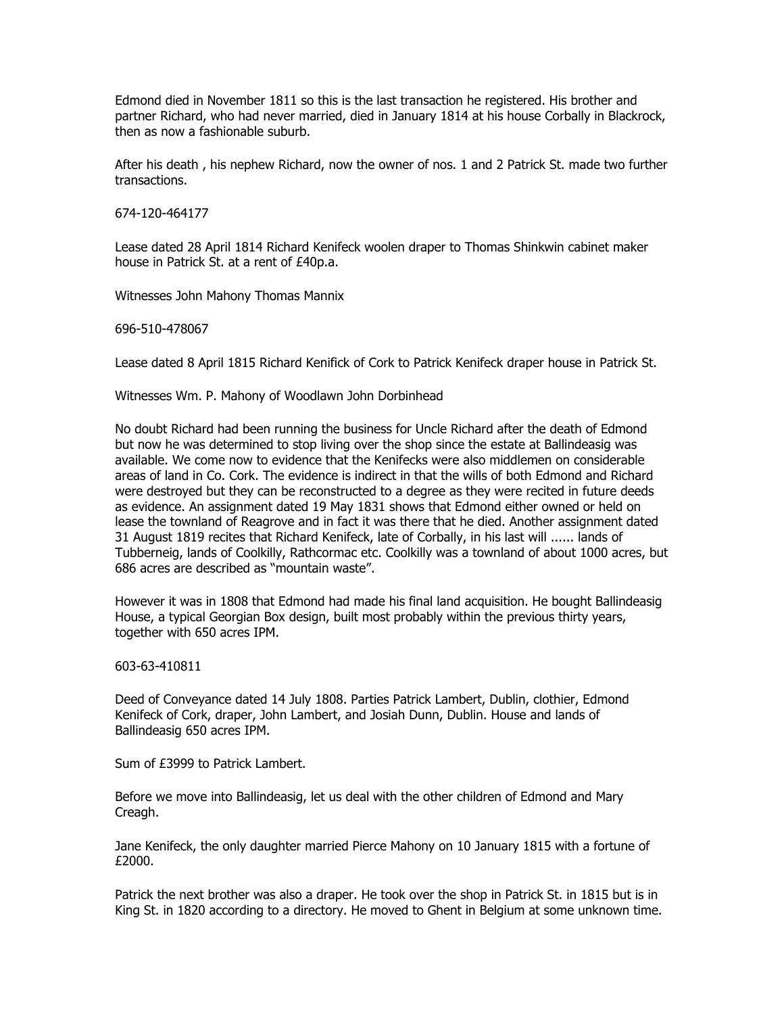Edmond died in November 1811 so this is the last transaction he registered. His brother and partner Richard, who had never married, died in January 1814 at his house Corbally in Blackrock, then as now a fashionable suburb.

After his death , his nephew Richard, now the owner of nos. 1 and 2 Patrick St. made two further transactions.

674-120-464177

Lease dated 28 April 1814 Richard Kenifeck woolen draper to Thomas Shinkwin cabinet maker house in Patrick St. at a rent of £40p.a.

Witnesses John Mahony Thomas Mannix

696-510-478067

Lease dated 8 April 1815 Richard Kenifick of Cork to Patrick Kenifeck draper house in Patrick St.

Witnesses Wm. P. Mahony of Woodlawn John Dorbinhead

No doubt Richard had been running the business for Uncle Richard after the death of Edmond but now he was determined to stop living over the shop since the estate at Ballindeasig was available. We come now to evidence that the Kenifecks were also middlemen on considerable areas of land in Co. Cork. The evidence is indirect in that the wills of both Edmond and Richard were destroyed but they can be reconstructed to a degree as they were recited in future deeds as evidence. An assignment dated 19 May 1831 shows that Edmond either owned or held on lease the townland of Reagrove and in fact it was there that he died. Another assignment dated 31 August 1819 recites that Richard Kenifeck, late of Corbally, in his last will ...... lands of Tubberneig, lands of Coolkilly, Rathcormac etc. Coolkilly was a townland of about 1000 acres, but 686 acres are described as "mountain waste".

However it was in 1808 that Edmond had made his final land acquisition. He bought Ballindeasig House, a typical Georgian Box design, built most probably within the previous thirty years, together with 650 acres IPM.

603-63-410811

Deed of Conveyance dated 14 July 1808. Parties Patrick Lambert, Dublin, clothier, Edmond Kenifeck of Cork, draper, John Lambert, and Josiah Dunn, Dublin. House and lands of Ballindeasig 650 acres IPM.

Sum of £3999 to Patrick Lambert.

Before we move into Ballindeasig, let us deal with the other children of Edmond and Mary Creagh.

Jane Kenifeck, the only daughter married Pierce Mahony on 10 January 1815 with a fortune of £2000.

Patrick the next brother was also a draper. He took over the shop in Patrick St. in 1815 but is in King St. in 1820 according to a directory. He moved to Ghent in Belgium at some unknown time.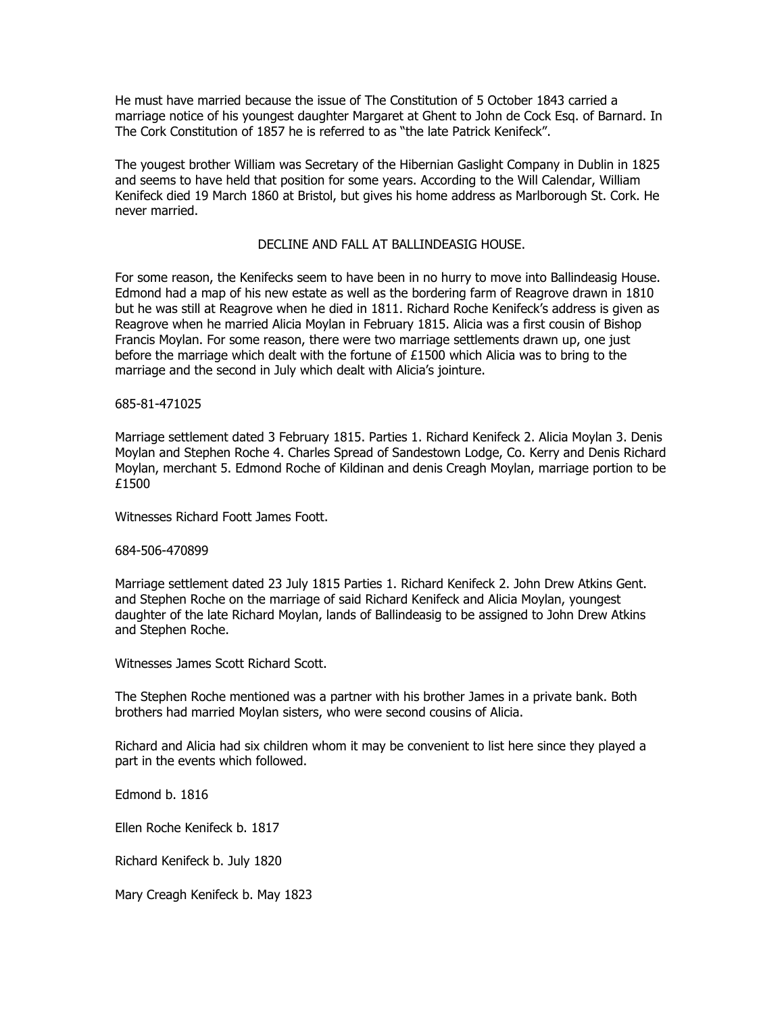He must have married because the issue of The Constitution of 5 October 1843 carried a marriage notice of his youngest daughter Margaret at Ghent to John de Cock Esq. of Barnard. In The Cork Constitution of 1857 he is referred to as "the late Patrick Kenifeck".

The yougest brother William was Secretary of the Hibernian Gaslight Company in Dublin in 1825 and seems to have held that position for some years. According to the Will Calendar, William Kenifeck died 19 March 1860 at Bristol, but gives his home address as Marlborough St. Cork. He never married.

# DECLINE AND FALL AT BALLINDEASIG HOUSE.

For some reason, the Kenifecks seem to have been in no hurry to move into Ballindeasig House. Edmond had a map of his new estate as well as the bordering farm of Reagrove drawn in 1810 but he was still at Reagrove when he died in 1811. Richard Roche Kenifeck's address is given as Reagrove when he married Alicia Moylan in February 1815. Alicia was a first cousin of Bishop Francis Moylan. For some reason, there were two marriage settlements drawn up, one just before the marriage which dealt with the fortune of £1500 which Alicia was to bring to the marriage and the second in July which dealt with Alicia's jointure.

### 685-81-471025

Marriage settlement dated 3 February 1815. Parties 1. Richard Kenifeck 2. Alicia Moylan 3. Denis Moylan and Stephen Roche 4. Charles Spread of Sandestown Lodge, Co. Kerry and Denis Richard Moylan, merchant 5. Edmond Roche of Kildinan and denis Creagh Moylan, marriage portion to be £1500

Witnesses Richard Foott James Foott.

#### 684-506-470899

Marriage settlement dated 23 July 1815 Parties 1. Richard Kenifeck 2. John Drew Atkins Gent. and Stephen Roche on the marriage of said Richard Kenifeck and Alicia Moylan, youngest daughter of the late Richard Moylan, lands of Ballindeasig to be assigned to John Drew Atkins and Stephen Roche.

Witnesses James Scott Richard Scott.

The Stephen Roche mentioned was a partner with his brother James in a private bank. Both brothers had married Moylan sisters, who were second cousins of Alicia.

Richard and Alicia had six children whom it may be convenient to list here since they played a part in the events which followed.

Edmond b. 1816

Ellen Roche Kenifeck b. 1817

Richard Kenifeck b. July 1820

Mary Creagh Kenifeck b. May 1823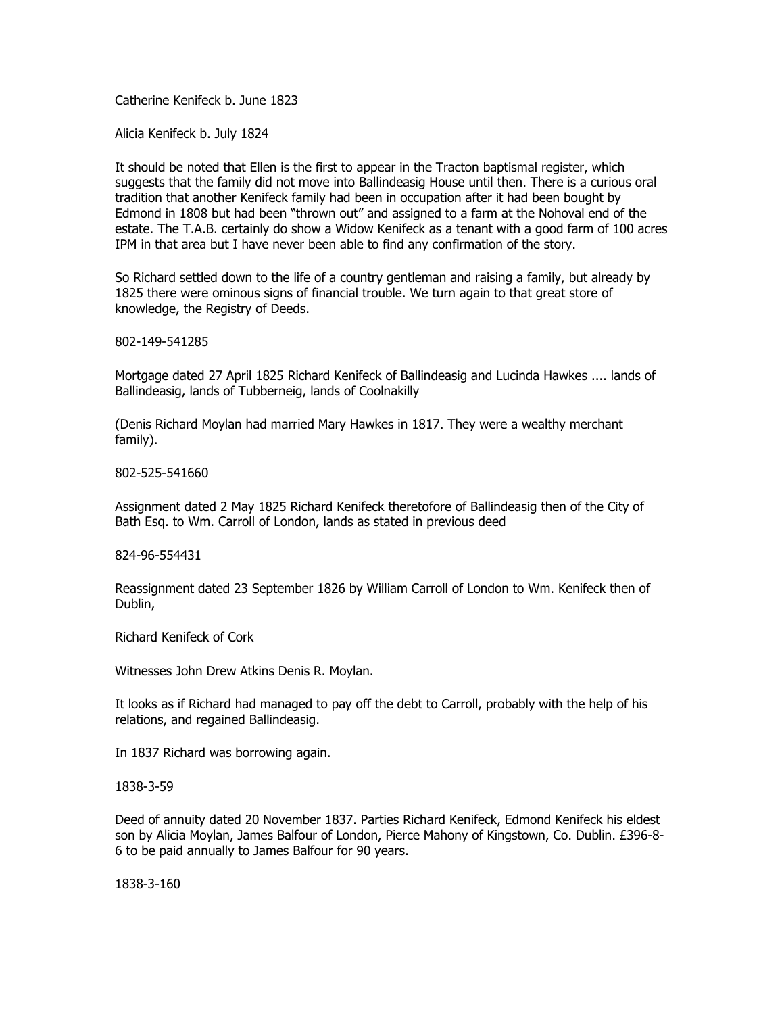Catherine Kenifeck b. June 1823

Alicia Kenifeck b. July 1824

It should be noted that Ellen is the first to appear in the Tracton baptismal register, which suggests that the family did not move into Ballindeasig House until then. There is a curious oral tradition that another Kenifeck family had been in occupation after it had been bought by Edmond in 1808 but had been "thrown out" and assigned to a farm at the Nohoval end of the estate. The T.A.B. certainly do show a Widow Kenifeck as a tenant with a good farm of 100 acres IPM in that area but I have never been able to find any confirmation of the story.

So Richard settled down to the life of a country gentleman and raising a family, but already by 1825 there were ominous signs of financial trouble. We turn again to that great store of knowledge, the Registry of Deeds.

802-149-541285

Mortgage dated 27 April 1825 Richard Kenifeck of Ballindeasig and Lucinda Hawkes .... lands of Ballindeasig, lands of Tubberneig, lands of Coolnakilly

(Denis Richard Moylan had married Mary Hawkes in 1817. They were a wealthy merchant family).

802-525-541660

Assignment dated 2 May 1825 Richard Kenifeck theretofore of Ballindeasig then of the City of Bath Esq. to Wm. Carroll of London, lands as stated in previous deed

824-96-554431

Reassignment dated 23 September 1826 by William Carroll of London to Wm. Kenifeck then of Dublin,

Richard Kenifeck of Cork

Witnesses John Drew Atkins Denis R. Moylan.

It looks as if Richard had managed to pay off the debt to Carroll, probably with the help of his relations, and regained Ballindeasig.

In 1837 Richard was borrowing again.

1838-3-59

Deed of annuity dated 20 November 1837. Parties Richard Kenifeck, Edmond Kenifeck his eldest son by Alicia Moylan, James Balfour of London, Pierce Mahony of Kingstown, Co. Dublin. £396-8- 6 to be paid annually to James Balfour for 90 years.

1838-3-160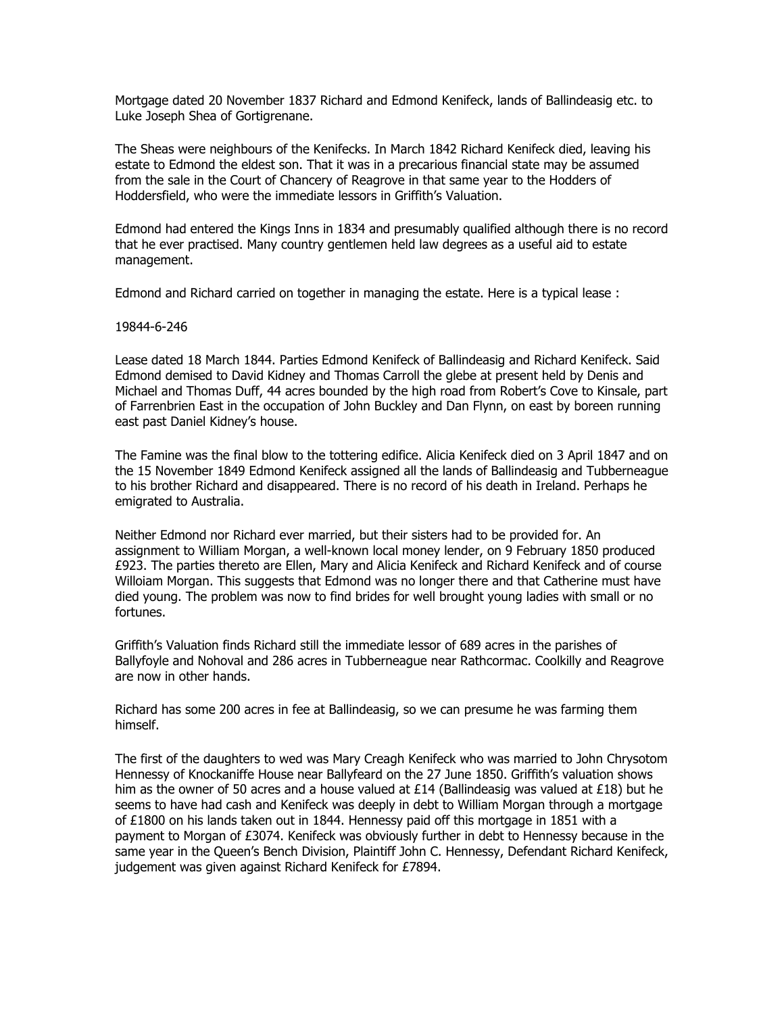Mortgage dated 20 November 1837 Richard and Edmond Kenifeck, lands of Ballindeasig etc. to Luke Joseph Shea of Gortigrenane.

The Sheas were neighbours of the Kenifecks. In March 1842 Richard Kenifeck died, leaving his estate to Edmond the eldest son. That it was in a precarious financial state may be assumed from the sale in the Court of Chancery of Reagrove in that same year to the Hodders of Hoddersfield, who were the immediate lessors in Griffith's Valuation.

Edmond had entered the Kings Inns in 1834 and presumably qualified although there is no record that he ever practised. Many country gentlemen held law degrees as a useful aid to estate management.

Edmond and Richard carried on together in managing the estate. Here is a typical lease :

#### 19844-6-246

Lease dated 18 March 1844. Parties Edmond Kenifeck of Ballindeasig and Richard Kenifeck. Said Edmond demised to David Kidney and Thomas Carroll the glebe at present held by Denis and Michael and Thomas Duff, 44 acres bounded by the high road from Robert's Cove to Kinsale, part of Farrenbrien East in the occupation of John Buckley and Dan Flynn, on east by boreen running east past Daniel Kidney's house.

The Famine was the final blow to the tottering edifice. Alicia Kenifeck died on 3 April 1847 and on the 15 November 1849 Edmond Kenifeck assigned all the lands of Ballindeasig and Tubberneague to his brother Richard and disappeared. There is no record of his death in Ireland. Perhaps he emigrated to Australia.

Neither Edmond nor Richard ever married, but their sisters had to be provided for. An assignment to William Morgan, a well-known local money lender, on 9 February 1850 produced £923. The parties thereto are Ellen, Mary and Alicia Kenifeck and Richard Kenifeck and of course Willoiam Morgan. This suggests that Edmond was no longer there and that Catherine must have died young. The problem was now to find brides for well brought young ladies with small or no fortunes.

Griffith's Valuation finds Richard still the immediate lessor of 689 acres in the parishes of Ballyfoyle and Nohoval and 286 acres in Tubberneague near Rathcormac. Coolkilly and Reagrove are now in other hands.

Richard has some 200 acres in fee at Ballindeasig, so we can presume he was farming them himself.

The first of the daughters to wed was Mary Creagh Kenifeck who was married to John Chrysotom Hennessy of Knockaniffe House near Ballyfeard on the 27 June 1850. Griffith's valuation shows him as the owner of 50 acres and a house valued at £14 (Ballindeasig was valued at £18) but he seems to have had cash and Kenifeck was deeply in debt to William Morgan through a mortgage of £1800 on his lands taken out in 1844. Hennessy paid off this mortgage in 1851 with a payment to Morgan of £3074. Kenifeck was obviously further in debt to Hennessy because in the same year in the Queen's Bench Division, Plaintiff John C. Hennessy, Defendant Richard Kenifeck, judgement was given against Richard Kenifeck for £7894.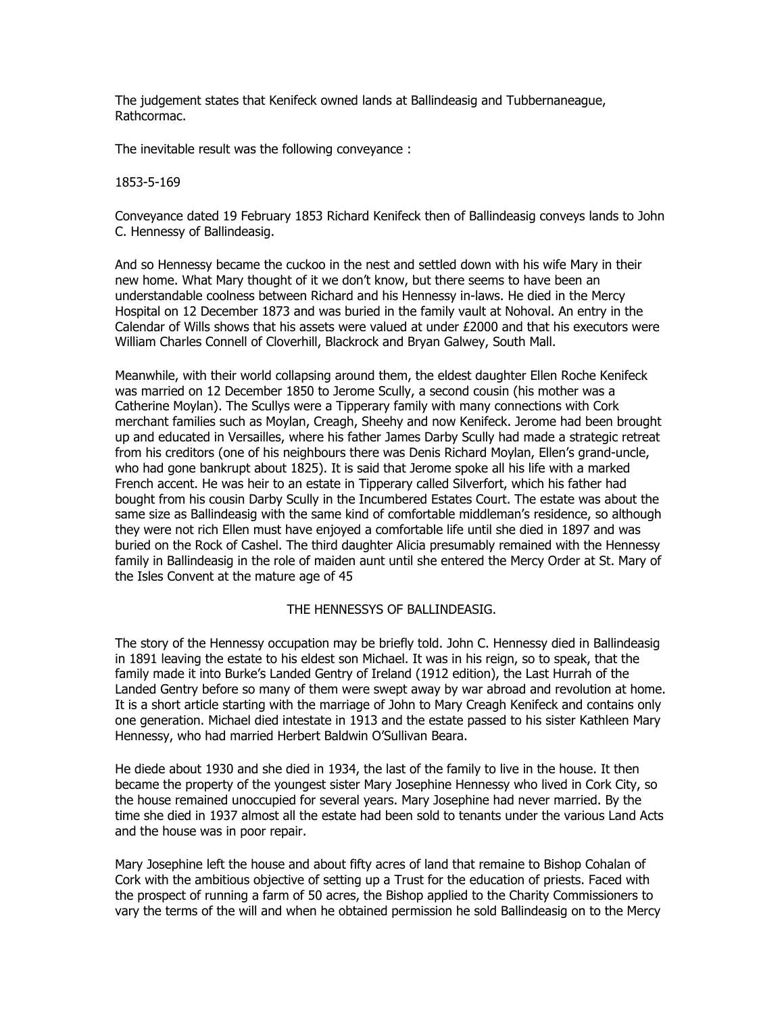The judgement states that Kenifeck owned lands at Ballindeasig and Tubbernaneague, Rathcormac.

The inevitable result was the following conveyance :

### 1853-5-169

Conveyance dated 19 February 1853 Richard Kenifeck then of Ballindeasig conveys lands to John C. Hennessy of Ballindeasig.

And so Hennessy became the cuckoo in the nest and settled down with his wife Mary in their new home. What Mary thought of it we don't know, but there seems to have been an understandable coolness between Richard and his Hennessy in-laws. He died in the Mercy Hospital on 12 December 1873 and was buried in the family vault at Nohoval. An entry in the Calendar of Wills shows that his assets were valued at under £2000 and that his executors were William Charles Connell of Cloverhill, Blackrock and Bryan Galwey, South Mall.

Meanwhile, with their world collapsing around them, the eldest daughter Ellen Roche Kenifeck was married on 12 December 1850 to Jerome Scully, a second cousin (his mother was a Catherine Moylan). The Scullys were a Tipperary family with many connections with Cork merchant families such as Moylan, Creagh, Sheehy and now Kenifeck. Jerome had been brought up and educated in Versailles, where his father James Darby Scully had made a strategic retreat from his creditors (one of his neighbours there was Denis Richard Moylan, Ellen's grand-uncle, who had gone bankrupt about 1825). It is said that Jerome spoke all his life with a marked French accent. He was heir to an estate in Tipperary called Silverfort, which his father had bought from his cousin Darby Scully in the Incumbered Estates Court. The estate was about the same size as Ballindeasig with the same kind of comfortable middleman's residence, so although they were not rich Ellen must have enjoyed a comfortable life until she died in 1897 and was buried on the Rock of Cashel. The third daughter Alicia presumably remained with the Hennessy family in Ballindeasig in the role of maiden aunt until she entered the Mercy Order at St. Mary of the Isles Convent at the mature age of 45

# THE HENNESSYS OF BALLINDEASIG.

The story of the Hennessy occupation may be briefly told. John C. Hennessy died in Ballindeasig in 1891 leaving the estate to his eldest son Michael. It was in his reign, so to speak, that the family made it into Burke's Landed Gentry of Ireland (1912 edition), the Last Hurrah of the Landed Gentry before so many of them were swept away by war abroad and revolution at home. It is a short article starting with the marriage of John to Mary Creagh Kenifeck and contains only one generation. Michael died intestate in 1913 and the estate passed to his sister Kathleen Mary Hennessy, who had married Herbert Baldwin O'Sullivan Beara.

He diede about 1930 and she died in 1934, the last of the family to live in the house. It then became the property of the youngest sister Mary Josephine Hennessy who lived in Cork City, so the house remained unoccupied for several years. Mary Josephine had never married. By the time she died in 1937 almost all the estate had been sold to tenants under the various Land Acts and the house was in poor repair.

Mary Josephine left the house and about fifty acres of land that remaine to Bishop Cohalan of Cork with the ambitious objective of setting up a Trust for the education of priests. Faced with the prospect of running a farm of 50 acres, the Bishop applied to the Charity Commissioners to vary the terms of the will and when he obtained permission he sold Ballindeasig on to the Mercy